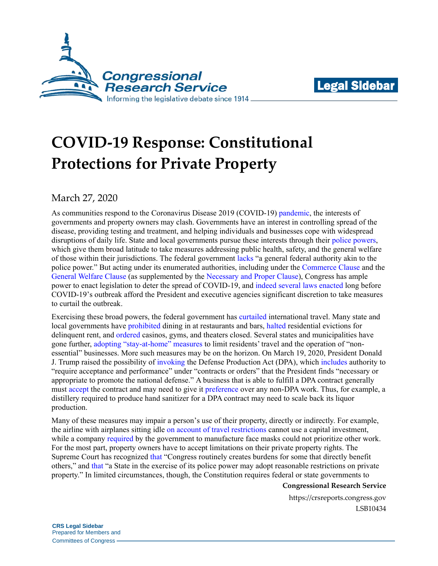



# **COVID-19 Response: Constitutional Protections for Private Property**

March 27, 2020

As communities respond to the Coronavirus Disease 2019 (COVID-19) [pandemic,](https://www.who.int/dg/speeches/detail/who-director-general-s-opening-remarks-at-the-media-briefing-on-covid-19---11-march-2020) the interests of governments and property owners may clash. Governments have an interest in controlling spread of the disease, providing testing and treatment, and helping individuals and businesses cope with widespread disruptions of daily life. State and local governments pursue these interests through their [police powers](https://cdn.loc.gov/service/ll/usrep/usrep501/usrep501560/usrep501560.pdf#page=10), which give them broad latitude to take measures addressing public health, safety, and the general welfare of those within their jurisdictions. The federal government [lacks](https://www.supremecourt.gov/opinions/boundvolumes/567BV.pdf#page=572) "a general federal authority akin to the police power." But acting under its enumerated authorities, including under the [Commerce Clause](https://constitution.congress.gov/browse/essay/artI_S8_C3_1_2/) and the [General Welfare Clause](https://constitution.congress.gov/browse/essay/artI_S8_C1_2/) (as supplemented by the [Necessary and Proper Clause\)](https://constitution.congress.gov/browse/essay/artI_S8_C18_1/), Congress has ample power to enact legislation to deter the spread of COVID-19, and [indeed](https://legcounsel.house.gov/Comps/PHSA-merged.pdf) [several](https://www.fema.gov/media-library-data/20130726-1650-20490-5258/final__defense_production_act_091030.pdf) [laws](https://uscode.house.gov/view.xhtml?req=(title:50%20section:1621%20edition:prelim)%20OR%20(granuleid:USC-prelim-title50-section1621)&f=treesort&edition=prelim&num=0&jumpTo=true) [enacted](https://www.fema.gov/media-library-data/1582133514823-be4368438bd042e3b60f5cec6b377d17/Stafford_June_2019_508.pdf) long before COVID-19's outbreak afford the President and executive agencies significant discretion to take measures to curtail the outbreak.

Exercising these broad powers, the federal government has [curtailed](https://www.dhs.gov/news/2020/03/13/fact-sheet-dhs-notice-arrival-restrictions-china-iran-and-schengen-countries-europe) international travel. Many state and local governments have [prohibited](https://content.govdelivery.com/attachments/OHOOD/2020/03/15/file_attachments/1401428/Health%20Director%20Order%20Limit%20Food,%20Alcohol%20Sales%20to%20Carry%20Out%20Delivery%20Only.pdf) dining in at restaurants and bars, [halted](https://durkan.seattle.gov/wp-content/uploads/sites/9/2020/03/Civil-Emergency-Order-Moratorium-on-Residential-Evictions_final_3.14.2020.pdf) residential evictions for delinquent rent, and [ordered](https://portal.ct.gov/-/media/Office-of-the-Governor/Executive-Orders/Lamont-Executive-Orders/Executive-Order-No-7D.pdf?la=en) casinos, gyms, and theaters closed. Several states and municipalities have gone further, [adopting "stay-at-home" measures](https://www.nytimes.com/interactive/2020/us/coronavirus-stay-at-home-order.html) to limit residents' travel and the operation of "nonessential" businesses. More such measures may be on the horizon. On March 19, 2020, President Donald J. Trump raised the possibility of [invoking](https://www.whitehouse.gov/briefings-statements/remarks-president-trump-vice-president-pence-members-coronavirus-task-force-press-briefing-6/) the Defense Production Act (DPA), which [includes](https://uscode.house.gov/view.xhtml?req=(title:50%20section:4511%20edition:prelim)%20OR%20(granuleid:USC-prelim-title50-section4511)&f=treesort&edition=prelim&num=0&jumpTo=true) authority to "require acceptance and performance" under "contracts or orders" that the President finds "necessary or appropriate to promote the national defense." A business that is able to fulfill a DPA contract generally must [accept](https://www.govinfo.gov/content/pkg/CFR-2019-title15-vol2/pdf/CFR-2019-title15-vol2-sec700-13.pdf) the contract and may need to give it [preference](https://www.govinfo.gov/content/pkg/CFR-2019-title15-vol2/pdf/CFR-2019-title15-vol2-sec700-14.pdf) over any non-DPA work. Thus, for example, a distillery required to produce hand sanitizer for a DPA contract may need to scale back its liquor production.

Many of these measures may impair a person's use of their property, directly or indirectly. For example, the airline with airplanes sitting idle [on account of travel restrictions](http://news.aa.com/news/news-details/2020/American-Airlines-Announces-Additional-Schedule-Changes-in-Response-to-Customer-Demand-Related-to-COVID-19-031420-OPS-DIS-03/default.aspx) cannot use a capital investment, while a company [required](https://www.usatoday.com/story/news/politics/2020/03/24/coronavirus-trump-use-defense-production-act-test-kit-shortage/2907619001/) by the government to manufacture face masks could not prioritize other work. For the most part, property owners have to accept limitations on their private property rights. The Supreme Court has recognized [that](http://cdn.loc.gov/service/ll/usrep/usrep475/usrep475211/usrep475211.pdf#page=13) "Congress routinely creates burdens for some that directly benefit others," and [that](http://cdn.loc.gov/service/ll/usrep/usrep447/usrep447074/usrep447074.pdf#page=8) "a State in the exercise of its police power may adopt reasonable restrictions on private property." In limited circumstances, though, the Constitution requires federal or state governments to

#### **Congressional Research Service**

https://crsreports.congress.gov LSB10434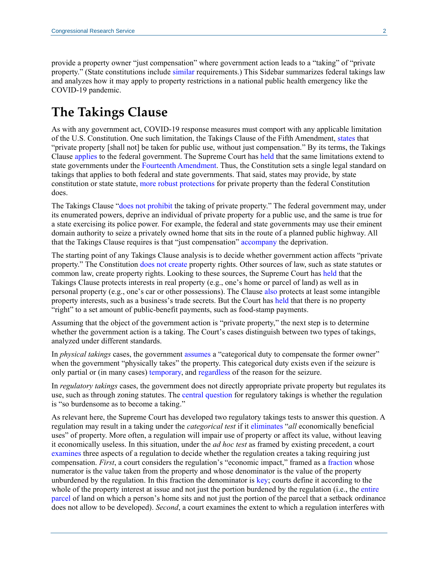provide a property owner "just compensation" where government action leads to a "taking" of "private property." (State constitutions include [similar](https://www.dos.ny.gov/info/pdfs/Constitution%20January%202015%20amd.pdf#page=6) requirements.) This Sidebar summarizes federal takings law and analyzes how it may apply to property restrictions in a national public health emergency like the COVID-19 pandemic.

# **The Takings Clause**

As with any government act, COVID-19 response measures must comport with any applicable limitation of the U.S. Constitution. One such limitation, the Takings Clause of the Fifth Amendment, [states](https://constitution.congress.gov/constitution/amendment-5/) that "private property [shall not] be taken for public use, without just compensation." By its terms, the Takings Clause [applies](http://cdn.loc.gov/service/ll/usrep/usrep032/usrep032243/usrep032243.pdf#page=9) to the federal government. The Supreme Court has [held](http://cdn.loc.gov/service/ll/usrep/usrep166/usrep166226/usrep166226.pdf#page=16) that the same limitations extend to state governments under the [Fourteenth Amendment.](https://constitution.congress.gov/constitution/amendment-14/) Thus, the Constitution sets a single legal standard on takings that applies to both federal and state governments. That said, states may provide, by state constitution or state statute, [more robust protections](http://cdn.loc.gov/service/ll/usrep/usrep447/usrep447074/usrep447074.pdf#page=8) for private property than the federal Constitution does.

The Takings Clause ["does not prohibit](https://www.supremecourt.gov/opinions/boundvolumes/544bv.pdf#page=630) the taking of private property." The federal government may, under its enumerated powers, deprive an individual of private property for a public use, and the same is true for a state exercising its police power. For example, the federal and state governments may use their eminent domain authority to seize a privately owned home that sits in the route of a planned public highway. All that the Takings Clause requires is that "just compensation" [accompany](https://www.supremecourt.gov/opinions/18pdf/17-647_m648.pdf#page=24) the deprivation.

The starting point of any Takings Clause analysis is to decide whether government action affects "private property." The Constitution [does not create](http://cdn.loc.gov/service/ll/usrep/usrep449/usrep449155/usrep449155.pdf#page=7) property rights. Other sources of law, such as state statutes or common law, create property rights. Looking to these sources, the Supreme Court has [held](https://www.supremecourt.gov/opinions/14pdf/14-275_feah.pdf#page=8) that the Takings Clause protects interests in real property (e.g., one's home or parcel of land) as well as in personal property (e.g., one's car or other possessions). The Clause [also](http://cdn.loc.gov/service/ll/usrep/usrep467/usrep467986/usrep467986.pdf#page=16) protects at least some intangible property interests, such as a business's trade secrets. But the Court has [held](http://cdn.loc.gov/service/ll/usrep/usrep483/usrep483587/usrep483587.pdf#page=19) that there is no property "right" to a set amount of public-benefit payments, such as food-stamp payments.

Assuming that the object of the government action is "private property," the next step is to determine whether the government action is a taking. The Court's cases distinguish between two types of takings, analyzed under different standards.

In *physical takings* cases, the government [assumes](https://www.supremecourt.gov/opinions/boundvolumes/535bv.pdf#page=431) a "categorical duty to compensate the former owner" when the government "physically takes" the property. This categorical duty exists even if the seizure is only partial or (in many cases) [temporary,](https://www.supremecourt.gov/opinions/boundvolumes/568BV.pdf#page=251) and [regardless](https://www.supremecourt.gov/opinions/14pdf/14-275_feah.pdf#page=10) of the reason for the seizure.

In *regulatory takings* cases, the government does not directly appropriate private property but regulates its use, such as through zoning statutes. The [central question](https://www.supremecourt.gov/opinions/16pdf/15-214_f1gj.pdf#page=11) for regulatory takings is whether the regulation is "so burdensome as to become a taking."

As relevant here, the Supreme Court has developed two regulatory takings tests to answer this question. A regulation may result in a taking under the *categorical test* if it [eliminates](https://www.supremecourt.gov/opinions/boundvolumes/505bv.pdf#page=1045) "*all* economically beneficial uses" of property. More often, a regulation will impair use of property or affect its value, without leaving it economically useless. In this situation, under the *ad hoc test* as framed by existing precedent, a court [examines](https://www.supremecourt.gov/opinions/16pdf/15-214_f1gj.pdf#page=11) three aspects of a regulation to decide whether the regulation creates a taking requiring just compensation. *First*, a court considers the regulation's "economic impact," framed as a [fraction](http://cdn.loc.gov/service/ll/usrep/usrep480/usrep480470/usrep480470.pdf#page=28) whose numerator is the value taken from the property and whose denominator is the value of the property unburdened by the regulation. In this fraction the denominator is [key;](https://www.supremecourt.gov/opinions/16pdf/15-214_f1gj.pdf#page=13) courts define it according to the whole of the property interest at issue and not just the portion burdened by the regulation (i.e., the [entire](http://cdn.loc.gov/service/ll/usrep/usrep480/usrep480470/usrep480470.pdf#page=29)  [parcel](http://cdn.loc.gov/service/ll/usrep/usrep480/usrep480470/usrep480470.pdf#page=29) of land on which a person's home sits and not just the portion of the parcel that a setback ordinance does not allow to be developed). *Second*, a court examines the extent to which a regulation interferes with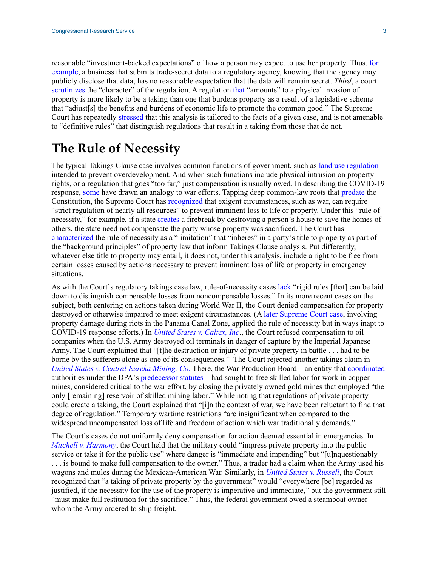reasonable "investment-backed expectations" of how a person may expect to use her property. Thus, [for](http://cdn.loc.gov/service/ll/usrep/usrep467/usrep467986/usrep467986.pdf#page=21)  [example,](http://cdn.loc.gov/service/ll/usrep/usrep467/usrep467986/usrep467986.pdf#page=21) a business that submits trade-secret data to a regulatory agency, knowing that the agency may publicly disclose that data, has no reasonable expectation that the data will remain secret. *Third*, a court [scrutinizes](https://www.supremecourt.gov/opinions/boundvolumes/544bv.pdf#page=633) the "character" of the regulation. A regulation [that](https://www.supremecourt.gov/opinions/boundvolumes/544bv.pdf#page=633) "amounts" to a physical invasion of property is more likely to be a taking than one that burdens property as a result of a legislative scheme that "adjust[s] the benefits and burdens of economic life to promote the common good." The Supreme Court has repeatedly [stressed](https://www.supremecourt.gov/opinions/16pdf/15-214_f1gj.pdf#page=11) that this analysis is tailored to the facts of a given case, and is not amenable to "definitive rules" that distinguish regulations that result in a taking from those that do not.

### **The Rule of Necessity**

The typical Takings Clause case involves common functions of government, such as [land use regulation](https://www.supremecourt.gov/opinions/16pdf/15-214_f1gj.pdf#page=6) intended to prevent overdevelopment. And when such functions include physical intrusion on property rights, or a regulation that goes "too far," just compensation is usually owed. In describing the COVID-19 response, [some](https://www.whitehouse.gov/briefings-statements/remarks-president-trump-vice-president-pence-members-coronavirus-task-force-press-briefing-6/) have drawn an analogy to war efforts. Tapping deep common-law roots that [predate](http://cdn.loc.gov/service/ll/usrep/usrep001/usrep001357/usrep001357.pdf#page=7) the Constitution, the Supreme Court has [recognized](http://cdn.loc.gov/service/ll/usrep/usrep357/usrep357155/usrep357155.pdf#page=14) that exigent circumstances, such as war, can require "strict regulation of nearly all resources" to prevent imminent loss to life or property. Under this "rule of necessity," for example, if a state [creates](http://cdn.loc.gov/service/ll/usrep/usrep157/usrep157386/usrep157386.pdf#page=20) a firebreak by destroying a person's house to save the homes of others, the state need not compensate the party whose property was sacrificed. The Court has [characterized](https://www.supremecourt.gov/opinions/boundvolumes/505bv.pdf#page=1055) the rule of necessity as a "limitation" that "inheres" in a party's title to property as part of the "background principles" of property law that inform Takings Clause analysis. Put differently, whatever else title to property may entail, it does not, under this analysis, include a right to be free from certain losses caused by actions necessary to prevent imminent loss of life or property in emergency situations.

As with the Court's regulatory takings case law, rule-of-necessity cases [lack](http://cdn.loc.gov/service/ll/usrep/usrep344/usrep344149/usrep344149.pdf#page=8) "rigid rules [that] can be laid down to distinguish compensable losses from noncompensable losses." In its more recent cases on the subject, both centering on actions taken during World War II, the Court denied compensation for property destroyed or otherwise impaired to meet exigent circumstances. (A [later Supreme Court case,](http://cdn.loc.gov/service/ll/usrep/usrep395/usrep395085/usrep395085.pdf) involving property damage during riots in the Panama Canal Zone, applied the rule of necessity but in ways inapt to COVID-19 response efforts.) In *[United States v. Caltex, Inc](http://cdn.loc.gov/service/ll/usrep/usrep344/usrep344149/usrep344149.pdf)*., the Court refused compensation to oil companies when the U.S. Army destroyed oil terminals in danger of capture by the Imperial Japanese Army. The Court explained that "[t]he destruction or injury of private property in battle . . . had to be borne by the sufferers alone as one of its consequences." The Court rejected another takings claim in *[United States v. Central Eureka Mining, Co.](http://cdn.loc.gov/service/ll/usrep/usrep357/usrep357155/usrep357155.pdf)* There, the War Production Board—an entity that [coordinated](https://www.presidency.ucsb.edu/documents/executive-order-9024-establishing-the-war-production-board) authorities under the DPA's [predecessor statutes—](https://crsreports.congress.gov/product/pdf/R/R43767#page=7)had sought to free skilled labor for work in copper mines, considered critical to the war effort, by closing the privately owned gold mines that employed "the only [remaining] reservoir of skilled mining labor." While noting that regulations of private property could create a taking, the Court explained that "[i]n the context of war, we have been reluctant to find that degree of regulation." Temporary wartime restrictions "are insignificant when compared to the widespread uncompensated loss of life and freedom of action which war traditionally demands."

The Court's cases do not uniformly deny compensation for action deemed essential in emergencies. In *[Mitchell v. Harmony](http://cdn.loc.gov/service/ll/usrep/usrep054/usrep054115/usrep054115.pdf#page=20)*, the Court held that the military could "impress private property into the public service or take it for the public use" where danger is "immediate and impending" but "[u]nquestionably . . . is bound to make full compensation to the owner." Thus, a trader had a claim when the Army used his wagons and mules during the Mexican-American War. Similarly, in *[United States v. Russell](http://cdn.loc.gov/service/ll/usrep/usrep080/usrep080623/usrep080623.pdf)*, the Court recognized that "a taking of private property by the government" would "everywhere [be] regarded as justified, if the necessity for the use of the property is imperative and immediate," but the government still "must make full restitution for the sacrifice." Thus, the federal government owed a steamboat owner whom the Army ordered to ship freight.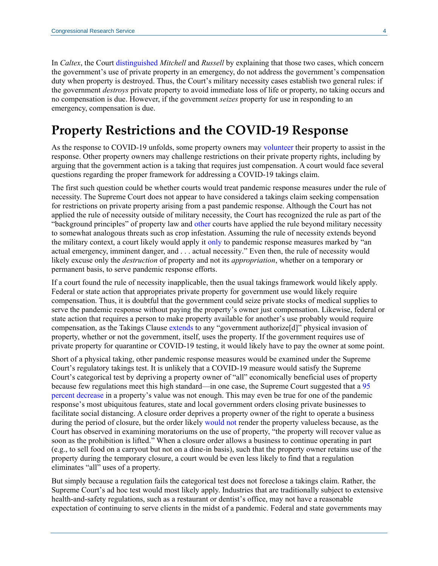In *Caltex*, the Court [distinguished](http://cdn.loc.gov/service/ll/usrep/usrep344/usrep344149/usrep344149.pdf#page=5) *Mitchell* and *Russell* by explaining that those two cases, which concern the government's use of private property in an emergency, do not address the government's compensation duty when property is destroyed. Thus, the Court's military necessity cases establish two general rules: if the government *destroys* private property to avoid immediate loss of life or property, no taking occurs and no compensation is due. However, if the government *seizes* property for use in responding to an emergency, compensation is due.

# **Property Restrictions and the COVID-19 Response**

As the response to COVID-19 unfolds, some property owners may [volunteer](https://docs.fcc.gov/public/attachments/DOC-363171A1.pdf) their property to assist in the response. Other property owners may challenge restrictions on their private property rights, including by arguing that the government action is a taking that requires just compensation. A court would face several questions regarding the proper framework for addressing a COVID-19 takings claim.

The first such question could be whether courts would treat pandemic response measures under the rule of necessity. The Supreme Court does not appear to have considered a takings claim seeking compensation for restrictions on private property arising from a past pandemic response. Although the Court has not applied the rule of necessity outside of military necessity, the Court has recognized the rule as part of the "background principles" of property law and [other](https://www.courtlistener.com/opinion/2600165/in-re-property-located-at-14255-53rd-ave-s-tukwila/?q=cites%3A(1734408)) courts have applied the rule beyond military necessity to somewhat analogous threats such as crop infestation. Assuming the rule of necessity extends beyond the military context, a court likely would apply it [only](http://www.cafc.uscourts.gov/sites/default/files/opinions-orders/12-5139.Opinion.7-16-2013.1.PDF#page=8) to pandemic response measures marked by "an actual emergency, imminent danger, and . . . actual necessity." Even then, the rule of necessity would likely excuse only the *destruction* of property and not its *appropriation*, whether on a temporary or permanent basis, to serve pandemic response efforts.

If a court found the rule of necessity inapplicable, then the usual takings framework would likely apply. Federal or state action that appropriates private property for government use would likely require compensation. Thus, it is doubtful that the government could seize private stocks of medical supplies to serve the pandemic response without paying the property's owner just compensation. Likewise, federal or state action that requires a person to make property available for another's use probably would require compensation, as the Takings Clause [extends](http://cdn.loc.gov/service/ll/usrep/usrep503/usrep503519/usrep503519.pdf#page=9) to any "government authorize[d]" physical invasion of property, whether or not the government, itself, uses the property. If the government requires use of private property for quarantine or COVID-19 testing, it would likely have to pay the owner at some point.

Short of a physical taking, other pandemic response measures would be examined under the Supreme Court's regulatory takings test. It is unlikely that a COVID-19 measure would satisfy the Supreme Court's categorical test by depriving a property owner of "all" economically beneficial uses of property because few regulations meet this high standard—in one case, the Supreme Court suggested that a [95](http://cdn.loc.gov/service/ll/usrep/usrep505/usrep5051003/usrep5051003.pdf#page=17)  [percent decrease](http://cdn.loc.gov/service/ll/usrep/usrep505/usrep5051003/usrep5051003.pdf#page=17) in a property's value was not enough. This may even be true for one of the pandemic response's most ubiquitous features, state and local government orders closing private businesses to facilitate social distancing. A closure order deprives a property owner of the right to operate a business during the period of closure, but the order likely [would not](https://www.supremecourt.gov/opinions/boundvolumes/535bv.pdf#page=441) render the property valueless because, as the Court has observed in examining moratoriums on the use of property, "the property will recover value as soon as the prohibition is lifted." When a closure order allows a business to continue operating in part (e.g., to sell food on a carryout but not on a dine-in basis), such that the property owner retains use of the property during the temporary closure, a court would be even less likely to find that a regulation eliminates "all" uses of a property.

But simply because a regulation fails the categorical test does not foreclose a takings claim. Rather, the Supreme Court's ad hoc test would most likely apply. Industries that are traditionally subject to extensive health-and-safety regulations, such as a restaurant or dentist's office, may not have a reasonable expectation of continuing to serve clients in the midst of a pandemic. Federal and state governments may